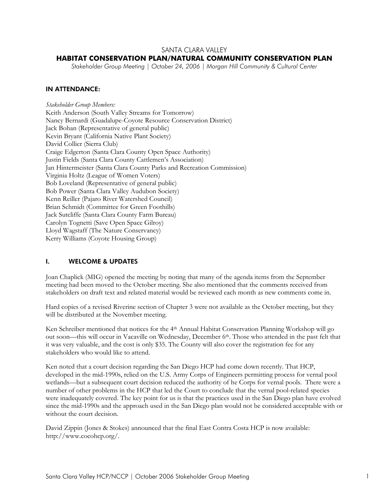# SANTA CLARA VALLEY

## **HABITAT CONSERVATION PLAN/NATURAL COMMUNITY CONSERVATION PLAN**

*Stakeholder Group Meeting | October 24, 2006 | Morgan Hill Community & Cultural Center* 

### IN ATTENDANCE:

*Stakeholder Group Members:*  Keith Anderson (South Valley Streams for Tomorrow) Nancy Bernardi (Guadalupe-Coyote Resource Conservation District) Jack Bohan (Representative of general public) Kevin Bryant (California Native Plant Society) David Collier (Sierra Club) Craige Edgerton (Santa Clara County Open Space Authority) Justin Fields (Santa Clara County Cattlemen's Association) Jan Hintermeister (Santa Clara County Parks and Recreation Commission) Virginia Holtz (League of Women Voters) Bob Loveland (Representative of general public) Bob Power (Santa Clara Valley Audubon Society) Kenn Reiller (Pajaro River Watershed Council) Brian Schmidt (Committee for Green Foothills) Jack Sutcliffe (Santa Clara County Farm Bureau) Carolyn Tognetti (Save Open Space Gilroy) Lloyd Wagstaff (The Nature Conservancy) Kerry Williams (Coyote Housing Group)

# I. WELCOME & UPDATES

Joan Chaplick (MIG) opened the meeting by noting that many of the agenda items from the September meeting had been moved to the October meeting. She also mentioned that the comments received from stakeholders on draft text and related material would be reviewed each month as new comments come in.

Hard copies of a revised Riverine section of Chapter 3 were not available as the October meeting, but they will be distributed at the November meeting.

Ken Schreiber mentioned that notices for the 4<sup>th</sup> Annual Habitat Conservation Planning Workshop will go out soon—this will occur in Vacaville on Wednesday, December 6<sup>th</sup>. Those who attended in the past felt that it was very valuable, and the cost is only \$35. The County will also cover the registration fee for any stakeholders who would like to attend.

Ken noted that a court decision regarding the San Diego HCP had come down recently. That HCP, developed in the mid-1990s, relied on the U.S. Army Corps of Engineers permitting process for vernal pool wetlands—but a subsequent court decision reduced the authority of he Corps for vernal pools. There were a number of other problems in the HCP that led the Court to conclude that the vernal pool-related species were inadequately covered. The key point for us is that the practices used in the San Diego plan have evolved since the mid-1990s and the approach used in the San Diego plan would not be considered acceptable with or without the court decision.

David Zippin (Jones & Stokes) announced that the final East Contra Costa HCP is now available: http://www.cocohcp.org/.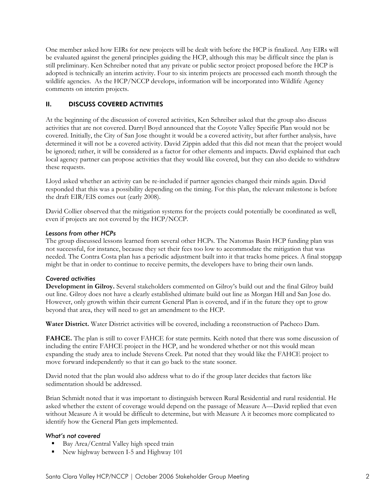One member asked how EIRs for new projects will be dealt with before the HCP is finalized. Any EIRs will be evaluated against the general principles guiding the HCP, although this may be difficult since the plan is still preliminary. Ken Schreiber noted that any private or public sector project proposed before the HCP is adopted is technically an interim activity. Four to six interim projects are processed each month through the wildlife agencies. As the HCP/NCCP develops, information will be incorporated into Wildlife Agency comments on interim projects.

# II. DISCUSS COVERED ACTIVITIES

At the beginning of the discussion of covered activities, Ken Schreiber asked that the group also discuss activities that are not covered. Darryl Boyd announced that the Coyote Valley Specific Plan would not be covered. Initially, the City of San Jose thought it would be a covered activity, but after further analysis, have determined it will not be a covered activity. David Zippin added that this did not mean that the project would be ignored; rather, it will be considered as a factor for other elements and impacts. David explained that each local agency partner can propose activities that they would like covered, but they can also decide to withdraw these requests.

Lloyd asked whether an activity can be re-included if partner agencies changed their minds again. David responded that this was a possibility depending on the timing. For this plan, the relevant milestone is before the draft EIR/EIS comes out (early 2008).

David Collier observed that the mitigation systems for the projects could potentially be coordinated as well, even if projects are not covered by the HCP/NCCP.

### *Lessons from other HCPs*

The group discussed lessons learned from several other HCPs. The Natomas Basin HCP funding plan was not successful, for instance, because they set their fees too low to accommodate the mitigation that was needed. The Contra Costa plan has a periodic adjustment built into it that tracks home prices. A final stopgap might be that in order to continue to receive permits, the developers have to bring their own lands.

# *Covered activities*

**Development in Gilroy.** Several stakeholders commented on Gilroy's build out and the final Gilroy build out line. Gilroy does not have a clearly established ultimate build out line as Morgan Hill and San Jose do. However, only growth within their current General Plan is covered, and if in the future they opt to grow beyond that area, they will need to get an amendment to the HCP.

**Water District.** Water District activities will be covered, including a reconstruction of Pacheco Dam.

**FAHCE.** The plan is still to cover FAHCE for state permits. Keith noted that there was some discussion of including the entire FAHCE project in the HCP, and he wondered whether or not this would mean expanding the study area to include Stevens Creek. Pat noted that they would like the FAHCE project to move forward independently so that it can go back to the state sooner.

David noted that the plan would also address what to do if the group later decides that factors like sedimentation should be addressed.

Brian Schmidt noted that it was important to distinguish between Rural Residential and rural residential. He asked whether the extent of coverage would depend on the passage of Measure A—David replied that even without Measure A it would be difficult to determine, but with Measure A it becomes more complicated to identify how the General Plan gets implemented.

# *What's not covered*

- Bay Area/Central Valley high speed train
- New highway between I-5 and Highway 101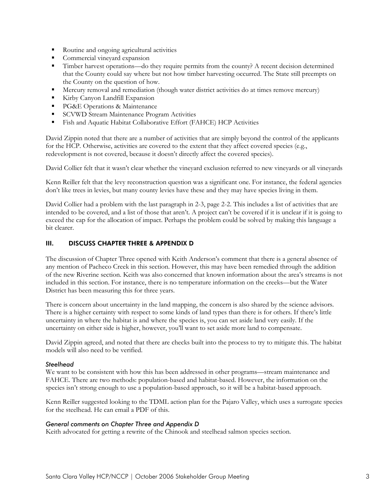- Routine and ongoing agricultural activities
- Commercial vineyard expansion
- Timber harvest operations—do they require permits from the county? A recent decision determined that the County could say where but not how timber harvesting occurred. The State still preempts on the County on the question of how.
- Mercury removal and remediation (though water district activities do at times remove mercury)
- Kirby Canyon Landfill Expansion
- **PG&E Operations & Maintenance**
- **SCVWD** Stream Maintenance Program Activities
- Fish and Aquatic Habitat Collaborative Effort (FAHCE) HCP Activities

David Zippin noted that there are a number of activities that are simply beyond the control of the applicants for the HCP. Otherwise, activities are covered to the extent that they affect covered species (e.g., redevelopment is not covered, because it doesn't directly affect the covered species).

David Collier felt that it wasn't clear whether the vineyard exclusion referred to new vineyards or all vineyards

Kenn Reiller felt that the levy reconstruction question was a significant one. For instance, the federal agencies don't like trees in levies, but many county levies have these and they may have species living in them.

David Collier had a problem with the last paragraph in 2-3, page 2-2. This includes a list of activities that are intended to be covered, and a list of those that aren't. A project can't be covered if it is unclear if it is going to exceed the cap for the allocation of impact. Perhaps the problem could be solved by making this language a bit clearer.

#### III. DISCUSS CHAPTER THREE & APPENDIX D

The discussion of Chapter Three opened with Keith Anderson's comment that there is a general absence of any mention of Pacheco Creek in this section. However, this may have been remedied through the addition of the new Riverine section. Keith was also concerned that known information about the area's streams is not included in this section. For instance, there is no temperature information on the creeks—but the Water District has been measuring this for three years.

There is concern about uncertainty in the land mapping, the concern is also shared by the science advisors. There is a higher certainty with respect to some kinds of land types than there is for others. If there's little uncertainty in where the habitat is and where the species is, you can set aside land very easily. If the uncertainty on either side is higher, however, you'll want to set aside more land to compensate.

David Zippin agreed, and noted that there are checks built into the process to try to mitigate this. The habitat models will also need to be verified.

#### *Steelhead*

We want to be consistent with how this has been addressed in other programs—stream maintenance and FAHCE. There are two methods: population-based and habitat-based. However, the information on the species isn't strong enough to use a population-based approach, so it will be a habitat-based approach.

Kenn Reiller suggested looking to the TDML action plan for the Pajaro Valley, which uses a surrogate species for the steelhead. He can email a PDF of this.

#### *General comments on Chapter Three and Appendix D*

Keith advocated for getting a rewrite of the Chinook and steelhead salmon species section.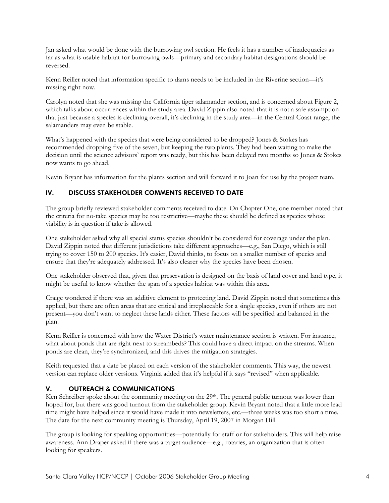Jan asked what would be done with the burrowing owl section. He feels it has a number of inadequacies as far as what is usable habitat for burrowing owls—primary and secondary habitat designations should be reversed.

Kenn Reiller noted that information specific to dams needs to be included in the Riverine section—it's missing right now.

Carolyn noted that she was missing the California tiger salamander section, and is concerned about Figure 2, which talks about occurrences within the study area. David Zippin also noted that it is not a safe assumption that just because a species is declining overall, it's declining in the study area—in the Central Coast range, the salamanders may even be stable.

What's happened with the species that were being considered to be dropped? Jones & Stokes has recommended dropping five of the seven, but keeping the two plants. They had been waiting to make the decision until the science advisors' report was ready, but this has been delayed two months so Jones & Stokes now wants to go ahead.

Kevin Bryant has information for the plants section and will forward it to Joan for use by the project team.

# IV. DISCUSS STAKEHOLDER COMMENTS RECEIVED TO DATE

The group briefly reviewed stakeholder comments received to date. On Chapter One, one member noted that the criteria for no-take species may be too restrictive—maybe these should be defined as species whose viability is in question if take is allowed.

One stakeholder asked why all special status species shouldn't be considered for coverage under the plan. David Zippin noted that different jurisdictions take different approaches—e.g., San Diego, which is still trying to cover 150 to 200 species. It's easier, David thinks, to focus on a smaller number of species and ensure that they're adequately addressed. It's also clearer why the species have been chosen.

One stakeholder observed that, given that preservation is designed on the basis of land cover and land type, it might be useful to know whether the span of a species habitat was within this area.

Craige wondered if there was an additive element to protecting land. David Zippin noted that sometimes this applied, but there are often areas that are critical and irreplaceable for a single species, even if others are not present—you don't want to neglect these lands either. These factors will be specified and balanced in the plan.

Kenn Reiller is concerned with how the Water District's water maintenance section is written. For instance, what about ponds that are right next to streambeds? This could have a direct impact on the streams. When ponds are clean, they're synchronized, and this drives the mitigation strategies.

Keith requested that a date be placed on each version of the stakeholder comments. This way, the newest version can replace older versions. Virginia added that it's helpful if it says "revised" when applicable.

# V. OUTREACH & COMMUNICATIONS

Ken Schreiber spoke about the community meeting on the 29<sup>th</sup>. The general public turnout was lower than hoped for, but there was good turnout from the stakeholder group. Kevin Bryant noted that a little more lead time might have helped since it would have made it into newsletters, etc.—three weeks was too short a time. The date for the next community meeting is Thursday, April 19, 2007 in Morgan Hill

The group is looking for speaking opportunities—potentially for staff or for stakeholders. This will help raise awareness. Ann Draper asked if there was a target audience—e.g., rotaries, an organization that is often looking for speakers.